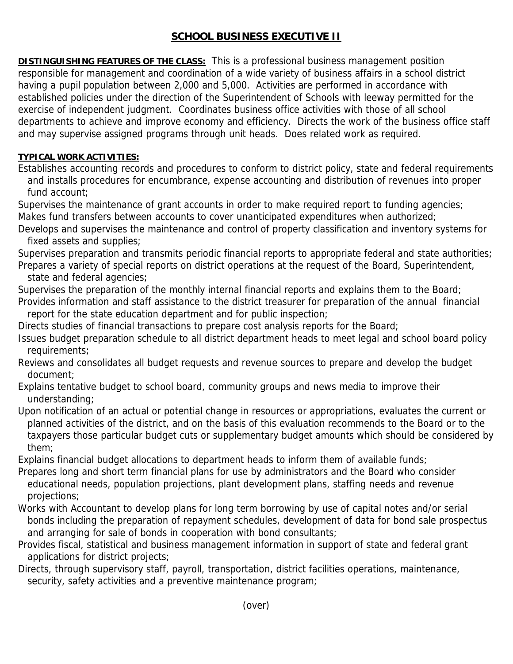## **SCHOOL BUSINESS EXECUTIVE II**

**DISTINGUISHING FEATURES OF THE CLASS:** This is a professional business management position responsible for management and coordination of a wide variety of business affairs in a school district having a pupil population between 2,000 and 5,000. Activities are performed in accordance with established policies under the direction of the Superintendent of Schools with leeway permitted for the exercise of independent judgment. Coordinates business office activities with those of all school departments to achieve and improve economy and efficiency. Directs the work of the business office staff and may supervise assigned programs through unit heads. Does related work as required.

## **TYPICAL WORK ACTIVITIES:**

Establishes accounting records and procedures to conform to district policy, state and federal requirements and installs procedures for encumbrance, expense accounting and distribution of revenues into proper fund account;

Supervises the maintenance of grant accounts in order to make required report to funding agencies; Makes fund transfers between accounts to cover unanticipated expenditures when authorized;

Develops and supervises the maintenance and control of property classification and inventory systems for fixed assets and supplies;

Supervises preparation and transmits periodic financial reports to appropriate federal and state authorities; Prepares a variety of special reports on district operations at the request of the Board, Superintendent, state and federal agencies;

Supervises the preparation of the monthly internal financial reports and explains them to the Board; Provides information and staff assistance to the district treasurer for preparation of the annual financial

report for the state education department and for public inspection;

Directs studies of financial transactions to prepare cost analysis reports for the Board;

- Issues budget preparation schedule to all district department heads to meet legal and school board policy requirements;
- Reviews and consolidates all budget requests and revenue sources to prepare and develop the budget document;

Explains tentative budget to school board, community groups and news media to improve their understanding;

Upon notification of an actual or potential change in resources or appropriations, evaluates the current or planned activities of the district, and on the basis of this evaluation recommends to the Board or to the taxpayers those particular budget cuts or supplementary budget amounts which should be considered by them;

Explains financial budget allocations to department heads to inform them of available funds;

- Prepares long and short term financial plans for use by administrators and the Board who consider educational needs, population projections, plant development plans, staffing needs and revenue projections;
- Works with Accountant to develop plans for long term borrowing by use of capital notes and/or serial bonds including the preparation of repayment schedules, development of data for bond sale prospectus and arranging for sale of bonds in cooperation with bond consultants;
- Provides fiscal, statistical and business management information in support of state and federal grant applications for district projects;
- Directs, through supervisory staff, payroll, transportation, district facilities operations, maintenance, security, safety activities and a preventive maintenance program;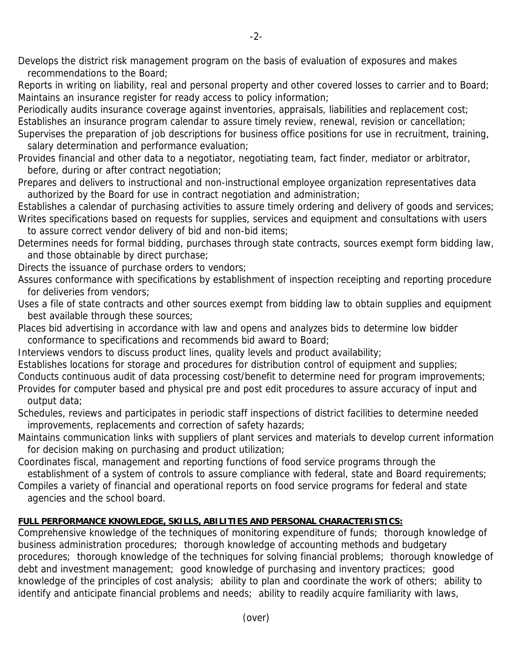Develops the district risk management program on the basis of evaluation of exposures and makes recommendations to the Board;

Reports in writing on liability, real and personal property and other covered losses to carrier and to Board; Maintains an insurance register for ready access to policy information;

Periodically audits insurance coverage against inventories, appraisals, liabilities and replacement cost; Establishes an insurance program calendar to assure timely review, renewal, revision or cancellation;

Supervises the preparation of job descriptions for business office positions for use in recruitment, training, salary determination and performance evaluation;

Provides financial and other data to a negotiator, negotiating team, fact finder, mediator or arbitrator, before, during or after contract negotiation;

Prepares and delivers to instructional and non-instructional employee organization representatives data authorized by the Board for use in contract negotiation and administration;

Establishes a calendar of purchasing activities to assure timely ordering and delivery of goods and services; Writes specifications based on requests for supplies, services and equipment and consultations with users to assure correct vendor delivery of bid and non-bid items;

Determines needs for formal bidding, purchases through state contracts, sources exempt form bidding law, and those obtainable by direct purchase;

Directs the issuance of purchase orders to vendors;

Assures conformance with specifications by establishment of inspection receipting and reporting procedure for deliveries from vendors;

Uses a file of state contracts and other sources exempt from bidding law to obtain supplies and equipment best available through these sources;

Places bid advertising in accordance with law and opens and analyzes bids to determine low bidder conformance to specifications and recommends bid award to Board;

Interviews vendors to discuss product lines, quality levels and product availability;

Establishes locations for storage and procedures for distribution control of equipment and supplies;

Conducts continuous audit of data processing cost/benefit to determine need for program improvements; Provides for computer based and physical pre and post edit procedures to assure accuracy of input and output data;

Schedules, reviews and participates in periodic staff inspections of district facilities to determine needed improvements, replacements and correction of safety hazards;

Maintains communication links with suppliers of plant services and materials to develop current information for decision making on purchasing and product utilization;

Coordinates fiscal, management and reporting functions of food service programs through the establishment of a system of controls to assure compliance with federal, state and Board requirements;

Compiles a variety of financial and operational reports on food service programs for federal and state agencies and the school board.

## **FULL PERFORMANCE KNOWLEDGE, SKILLS, ABILITIES AND PERSONAL CHARACTERISTICS:**

Comprehensive knowledge of the techniques of monitoring expenditure of funds; thorough knowledge of business administration procedures; thorough knowledge of accounting methods and budgetary procedures; thorough knowledge of the techniques for solving financial problems; thorough knowledge of debt and investment management; good knowledge of purchasing and inventory practices; good knowledge of the principles of cost analysis; ability to plan and coordinate the work of others; ability to identify and anticipate financial problems and needs; ability to readily acquire familiarity with laws,